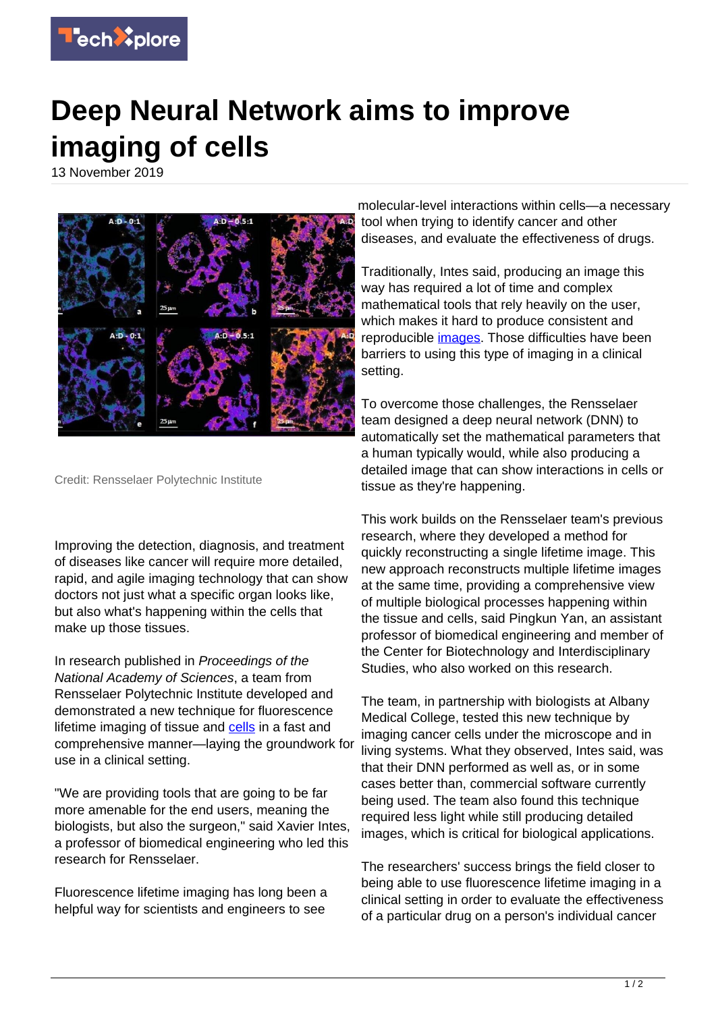

## **Deep Neural Network aims to improve imaging of cells**

13 November 2019



Credit: Rensselaer Polytechnic Institute

Improving the detection, diagnosis, and treatment of diseases like cancer will require more detailed, rapid, and agile imaging technology that can show doctors not just what a specific organ looks like, but also what's happening within the cells that make up those tissues.

In research published in Proceedings of the National Academy of Sciences, a team from Rensselaer Polytechnic Institute developed and demonstrated a new technique for fluorescence lifetime imaging of tissue and [cells](https://techxplore.com/tags/cells/) in a fast and comprehensive manner—laying the groundwork for use in a clinical setting.

"We are providing tools that are going to be far more amenable for the end users, meaning the biologists, but also the surgeon," said Xavier Intes, a professor of biomedical engineering who led this research for Rensselaer.

Fluorescence lifetime imaging has long been a helpful way for scientists and engineers to see

molecular-level interactions within cells—a necessary tool when trying to identify cancer and other diseases, and evaluate the effectiveness of drugs.

Traditionally, Intes said, producing an image this way has required a lot of time and complex mathematical tools that rely heavily on the user, which makes it hard to produce consistent and reproducible [images.](https://techxplore.com/tags/images/) Those difficulties have been barriers to using this type of imaging in a clinical setting.

To overcome those challenges, the Rensselaer team designed a deep neural network (DNN) to automatically set the mathematical parameters that a human typically would, while also producing a detailed image that can show interactions in cells or tissue as they're happening.

This work builds on the Rensselaer team's previous research, where they developed a method for quickly reconstructing a single lifetime image. This new approach reconstructs multiple lifetime images at the same time, providing a comprehensive view of multiple biological processes happening within the tissue and cells, said Pingkun Yan, an assistant professor of biomedical engineering and member of the Center for Biotechnology and Interdisciplinary Studies, who also worked on this research.

The team, in partnership with biologists at Albany Medical College, tested this new technique by imaging cancer cells under the microscope and in living systems. What they observed, Intes said, was that their DNN performed as well as, or in some cases better than, commercial software currently being used. The team also found this technique required less light while still producing detailed images, which is critical for biological applications.

The researchers' success brings the field closer to being able to use fluorescence lifetime imaging in a clinical setting in order to evaluate the effectiveness of a particular drug on a person's individual cancer